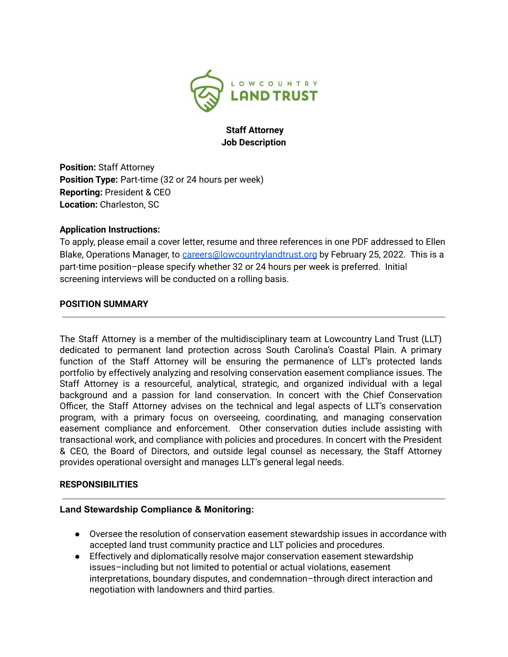

## **Staff Attorney Job Description**

**Position:** Staff Attorney **Position Type:** Part-time (32 or 24 hours per week) **Reporting:** President & CEO **Location:** Charleston, SC

## **Application Instructions:**

To apply, please email a cover letter, resume and three references in one PDF addressed to Ellen Blake, Operations Manager, to [careers@lowcountrylandtrust.org](mailto:careers@lowcountrylandtrust.org) by February 25, 2022. This is a part-time position–please specify whether 32 or 24 hours per week is preferred. Initial screening interviews will be conducted on a rolling basis.

## **POSITION SUMMARY**

The Staff Attorney is a member of the multidisciplinary team at Lowcountry Land Trust (LLT) dedicated to permanent land protection across South Carolina's Coastal Plain. A primary function of the Staff Attorney will be ensuring the permanence of LLT's protected lands portfolio by effectively analyzing and resolving conservation easement compliance issues. The Staff Attorney is a resourceful, analytical, strategic, and organized individual with a legal background and a passion for land conservation. In concert with the Chief Conservation Officer, the Staff Attorney advises on the technical and legal aspects of LLT's conservation program, with a primary focus on overseeing, coordinating, and managing conservation easement compliance and enforcement. Other conservation duties include assisting with transactional work, and compliance with policies and procedures. In concert with the President & CEO, the Board of Directors, and outside legal counsel as necessary, the Staff Attorney provides operational oversight and manages LLT's general legal needs.

### **RESPONSIBILITIES**

### **Land Stewardship Compliance & Monitoring:**

- Oversee the resolution of conservation easement stewardship issues in accordance with accepted land trust community practice and LLT policies and procedures.
- Effectively and diplomatically resolve major conservation easement stewardship issues–including but not limited to potential or actual violations, easement interpretations, boundary disputes, and condemnation–through direct interaction and negotiation with landowners and third parties.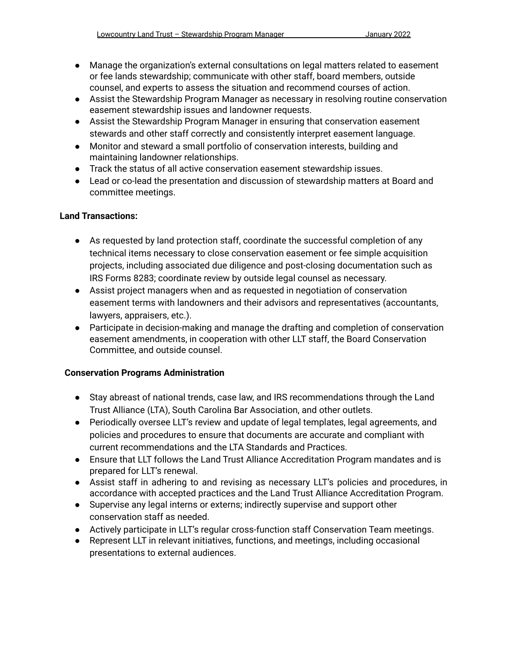- Manage the organization's external consultations on legal matters related to easement or fee lands stewardship; communicate with other staff, board members, outside counsel, and experts to assess the situation and recommend courses of action.
- Assist the Stewardship Program Manager as necessary in resolving routine conservation easement stewardship issues and landowner requests.
- Assist the Stewardship Program Manager in ensuring that conservation easement stewards and other staff correctly and consistently interpret easement language.
- Monitor and steward a small portfolio of conservation interests, building and maintaining landowner relationships.
- Track the status of all active conservation easement stewardship issues.
- Lead or co-lead the presentation and discussion of stewardship matters at Board and committee meetings.

## **Land Transactions:**

- As requested by land protection staff, coordinate the successful completion of any technical items necessary to close conservation easement or fee simple acquisition projects, including associated due diligence and post-closing documentation such as IRS Forms 8283; coordinate review by outside legal counsel as necessary.
- Assist project managers when and as requested in negotiation of conservation easement terms with landowners and their advisors and representatives (accountants, lawyers, appraisers, etc.).
- Participate in decision-making and manage the drafting and completion of conservation easement amendments, in cooperation with other LLT staff, the Board Conservation Committee, and outside counsel.

# **Conservation Programs Administration**

- Stay abreast of national trends, case law, and IRS recommendations through the Land Trust Alliance (LTA), South Carolina Bar Association, and other outlets.
- Periodically oversee LLT's review and update of legal templates, legal agreements, and policies and procedures to ensure that documents are accurate and compliant with current recommendations and the LTA Standards and Practices.
- Ensure that LLT follows the Land Trust Alliance Accreditation Program mandates and is prepared for LLT's renewal.
- Assist staff in adhering to and revising as necessary LLT's policies and procedures, in accordance with accepted practices and the Land Trust Alliance Accreditation Program.
- Supervise any legal interns or externs; indirectly supervise and support other conservation staff as needed.
- Actively participate in LLT's regular cross-function staff Conservation Team meetings.
- Represent LLT in relevant initiatives, functions, and meetings, including occasional presentations to external audiences.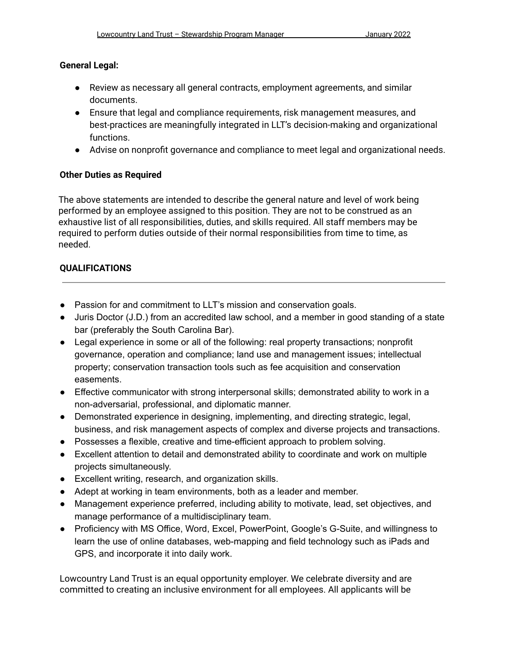#### **General Legal:**

- Review as necessary all general contracts, employment agreements, and similar documents.
- Ensure that legal and compliance requirements, risk management measures, and best-practices are meaningfully integrated in LLT's decision-making and organizational functions.
- Advise on nonprofit governance and compliance to meet legal and organizational needs.

### **Other Duties as Required**

The above statements are intended to describe the general nature and level of work being performed by an employee assigned to this position. They are not to be construed as an exhaustive list of all responsibilities, duties, and skills required. All staff members may be required to perform duties outside of their normal responsibilities from time to time, as needed.

### **QUALIFICATIONS**

- Passion for and commitment to LLT's mission and conservation goals.
- Juris Doctor (J.D.) from an accredited law school, and a member in good standing of a state bar (preferably the South Carolina Bar).
- Legal experience in some or all of the following: real property transactions; nonprofit governance, operation and compliance; land use and management issues; intellectual property; conservation transaction tools such as fee acquisition and conservation easements.
- Effective communicator with strong interpersonal skills; demonstrated ability to work in a non-adversarial, professional, and diplomatic manner.
- Demonstrated experience in designing, implementing, and directing strategic, legal, business, and risk management aspects of complex and diverse projects and transactions.
- Possesses a flexible, creative and time-efficient approach to problem solving.
- Excellent attention to detail and demonstrated ability to coordinate and work on multiple projects simultaneously.
- Excellent writing, research, and organization skills.
- Adept at working in team environments, both as a leader and member.
- Management experience preferred, including ability to motivate, lead, set objectives, and manage performance of a multidisciplinary team.
- Proficiency with MS Office, Word, Excel, PowerPoint, Google's G-Suite, and willingness to learn the use of online databases, web-mapping and field technology such as iPads and GPS, and incorporate it into daily work.

Lowcountry Land Trust is an equal opportunity employer. We celebrate diversity and are committed to creating an inclusive environment for all employees. All applicants will be